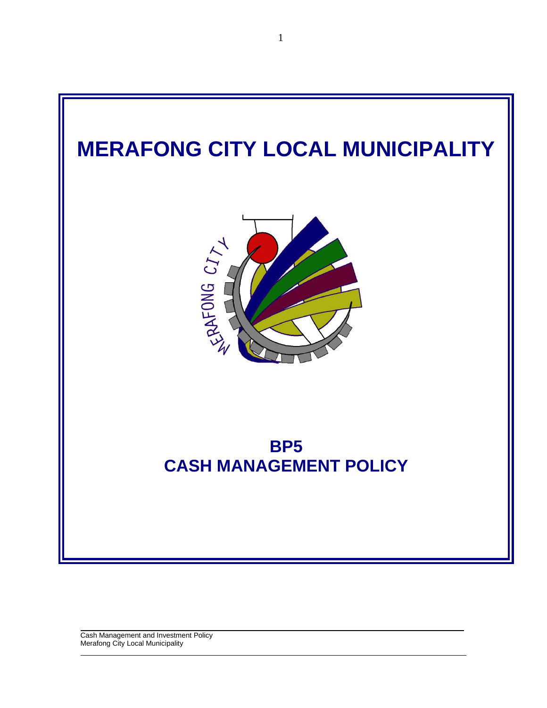

 $\mathcal{L}=\mathcal{L}$ 

 $\_$  ,  $\_$  ,  $\_$  ,  $\_$  ,  $\_$  ,  $\_$  ,  $\_$  ,  $\_$  ,  $\_$  ,  $\_$  ,  $\_$  ,  $\_$  ,  $\_$  ,  $\_$  ,  $\_$  ,  $\_$  ,  $\_$  ,  $\_$  ,  $\_$  ,  $\_$  ,  $\_$  ,  $\_$  ,  $\_$  ,  $\_$  ,  $\_$  ,  $\_$  ,  $\_$  ,  $\_$  ,  $\_$  ,  $\_$  ,  $\_$  ,  $\_$  ,  $\_$  ,  $\_$  ,  $\_$  ,  $\_$  ,  $\_$  , Cash Management and Investment Policy Merafong City Local Municipality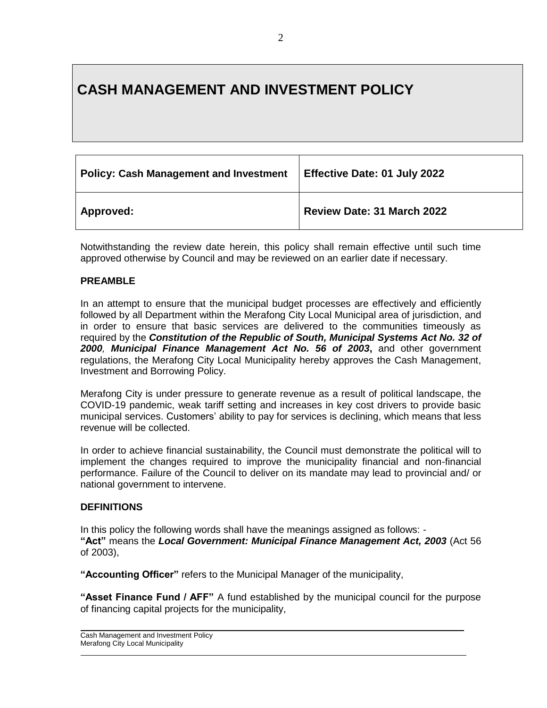# **CASH MANAGEMENT AND INVESTMENT POLICY**

| <b>Policy: Cash Management and Investment</b> | <b>Effective Date: 01 July 2022</b> |
|-----------------------------------------------|-------------------------------------|
| Approved:                                     | Review Date: 31 March 2022          |

Notwithstanding the review date herein, this policy shall remain effective until such time approved otherwise by Council and may be reviewed on an earlier date if necessary.

### **PREAMBLE**

In an attempt to ensure that the municipal budget processes are effectively and efficiently followed by all Department within the Merafong City Local Municipal area of jurisdiction, and in order to ensure that basic services are delivered to the communities timeously as required by the *Constitution of the Republic of South, Municipal Systems Act No. 32 of 2000, Municipal Finance Management Act No. 56 of 2003***,** and other government regulations, the Merafong City Local Municipality hereby approves the Cash Management, Investment and Borrowing Policy.

Merafong City is under pressure to generate revenue as a result of political landscape, the COVID-19 pandemic, weak tariff setting and increases in key cost drivers to provide basic municipal services. Customers' ability to pay for services is declining, which means that less revenue will be collected.

In order to achieve financial sustainability, the Council must demonstrate the political will to implement the changes required to improve the municipality financial and non-financial performance. Failure of the Council to deliver on its mandate may lead to provincial and/ or national government to intervene.

#### **DEFINITIONS**

In this policy the following words shall have the meanings assigned as follows: - **"Act"** means the *Local Government: Municipal Finance Management Act, 2003* (Act 56 of 2003),

**"Accounting Officer"** refers to the Municipal Manager of the municipality,

**"Asset Finance Fund / AFF"** A fund established by the municipal council for the purpose of financing capital projects for the municipality,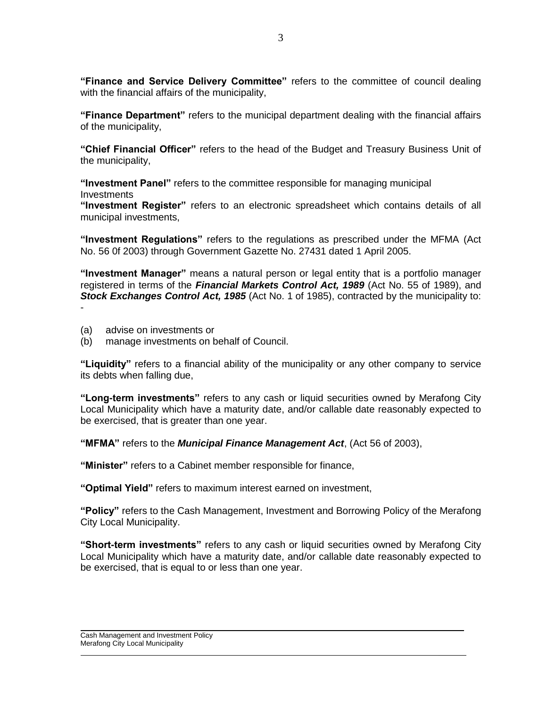**"Finance and Service Delivery Committee"** refers to the committee of council dealing with the financial affairs of the municipality,

**"Finance Department"** refers to the municipal department dealing with the financial affairs of the municipality,

**"Chief Financial Officer"** refers to the head of the Budget and Treasury Business Unit of the municipality,

**"Investment Panel"** refers to the committee responsible for managing municipal **Investments** 

**"Investment Register"** refers to an electronic spreadsheet which contains details of all municipal investments,

**"Investment Regulations"** refers to the regulations as prescribed under the MFMA (Act No. 56 0f 2003) through Government Gazette No. 27431 dated 1 April 2005.

**"Investment Manager"** means a natural person or legal entity that is a portfolio manager registered in terms of the *Financial Markets Control Act, 1989* (Act No. 55 of 1989), and *Stock Exchanges Control Act, 1985* (Act No. 1 of 1985), contracted by the municipality to: -

- (a) advise on investments or
- (b) manage investments on behalf of Council.

**"Liquidity"** refers to a financial ability of the municipality or any other company to service its debts when falling due,

**"Long-term investments"** refers to any cash or liquid securities owned by Merafong City Local Municipality which have a maturity date, and/or callable date reasonably expected to be exercised, that is greater than one year.

**"MFMA"** refers to the *Municipal Finance Management Act*, (Act 56 of 2003),

**"Minister"** refers to a Cabinet member responsible for finance,

**"Optimal Yield"** refers to maximum interest earned on investment,

**"Policy"** refers to the Cash Management, Investment and Borrowing Policy of the Merafong City Local Municipality.

**"Short-term investments"** refers to any cash or liquid securities owned by Merafong City Local Municipality which have a maturity date, and/or callable date reasonably expected to be exercised, that is equal to or less than one year.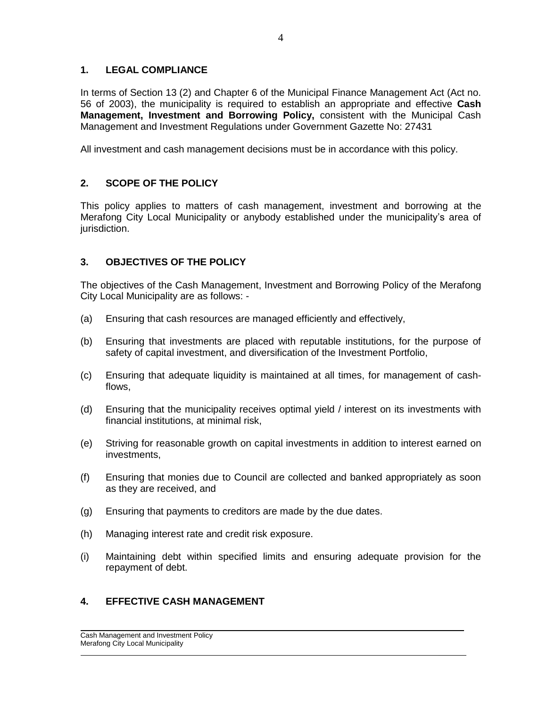# **1. LEGAL COMPLIANCE**

In terms of Section 13 (2) and Chapter 6 of the Municipal Finance Management Act (Act no. 56 of 2003), the municipality is required to establish an appropriate and effective **Cash Management, Investment and Borrowing Policy,** consistent with the Municipal Cash Management and Investment Regulations under Government Gazette No: 27431

All investment and cash management decisions must be in accordance with this policy.

# **2. SCOPE OF THE POLICY**

This policy applies to matters of cash management, investment and borrowing at the Merafong City Local Municipality or anybody established under the municipality's area of jurisdiction.

# **3. OBJECTIVES OF THE POLICY**

The objectives of the Cash Management, Investment and Borrowing Policy of the Merafong City Local Municipality are as follows: -

- (a) Ensuring that cash resources are managed efficiently and effectively,
- (b) Ensuring that investments are placed with reputable institutions, for the purpose of safety of capital investment, and diversification of the Investment Portfolio,
- (c) Ensuring that adequate liquidity is maintained at all times, for management of cashflows,
- (d) Ensuring that the municipality receives optimal yield / interest on its investments with financial institutions, at minimal risk,
- (e) Striving for reasonable growth on capital investments in addition to interest earned on investments,
- (f) Ensuring that monies due to Council are collected and banked appropriately as soon as they are received, and
- (g) Ensuring that payments to creditors are made by the due dates.
- (h) Managing interest rate and credit risk exposure.
- (i) Maintaining debt within specified limits and ensuring adequate provision for the repayment of debt.

 $\mathcal{L}=\mathcal{L}$ 

# **4. EFFECTIVE CASH MANAGEMENT**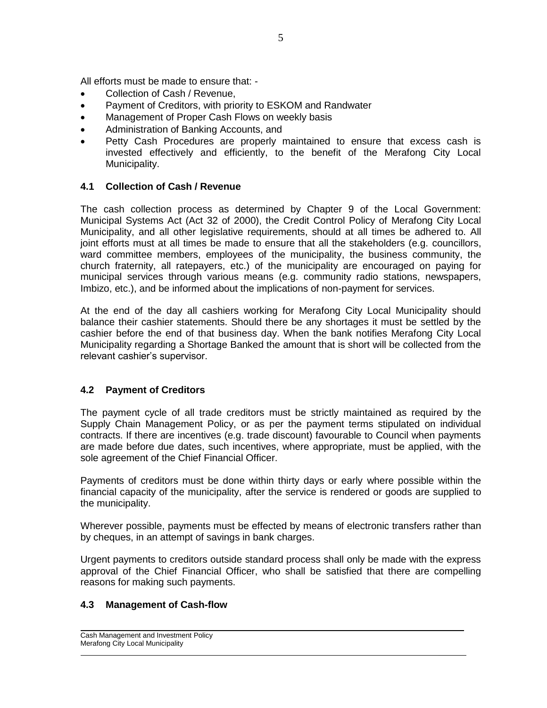All efforts must be made to ensure that: -

- Collection of Cash / Revenue,
- Payment of Creditors, with priority to ESKOM and Randwater
- Management of Proper Cash Flows on weekly basis
- Administration of Banking Accounts, and
- Petty Cash Procedures are properly maintained to ensure that excess cash is invested effectively and efficiently, to the benefit of the Merafong City Local Municipality.

# **4.1 Collection of Cash / Revenue**

The cash collection process as determined by Chapter 9 of the Local Government: Municipal Systems Act (Act 32 of 2000), the Credit Control Policy of Merafong City Local Municipality, and all other legislative requirements, should at all times be adhered to. All joint efforts must at all times be made to ensure that all the stakeholders (e.g. councillors, ward committee members, employees of the municipality, the business community, the church fraternity, all ratepayers, etc.) of the municipality are encouraged on paying for municipal services through various means (e.g. community radio stations, newspapers, Imbizo, etc.), and be informed about the implications of non-payment for services.

At the end of the day all cashiers working for Merafong City Local Municipality should balance their cashier statements. Should there be any shortages it must be settled by the cashier before the end of that business day. When the bank notifies Merafong City Local Municipality regarding a Shortage Banked the amount that is short will be collected from the relevant cashier's supervisor.

### **4.2 Payment of Creditors**

The payment cycle of all trade creditors must be strictly maintained as required by the Supply Chain Management Policy, or as per the payment terms stipulated on individual contracts. If there are incentives (e.g. trade discount) favourable to Council when payments are made before due dates, such incentives, where appropriate, must be applied, with the sole agreement of the Chief Financial Officer.

Payments of creditors must be done within thirty days or early where possible within the financial capacity of the municipality, after the service is rendered or goods are supplied to the municipality.

Wherever possible, payments must be effected by means of electronic transfers rather than by cheques, in an attempt of savings in bank charges.

Urgent payments to creditors outside standard process shall only be made with the express approval of the Chief Financial Officer, who shall be satisfied that there are compelling reasons for making such payments.

 $\mathcal{L}=\mathcal{L}$ 

### **4.3 Management of Cash-flow**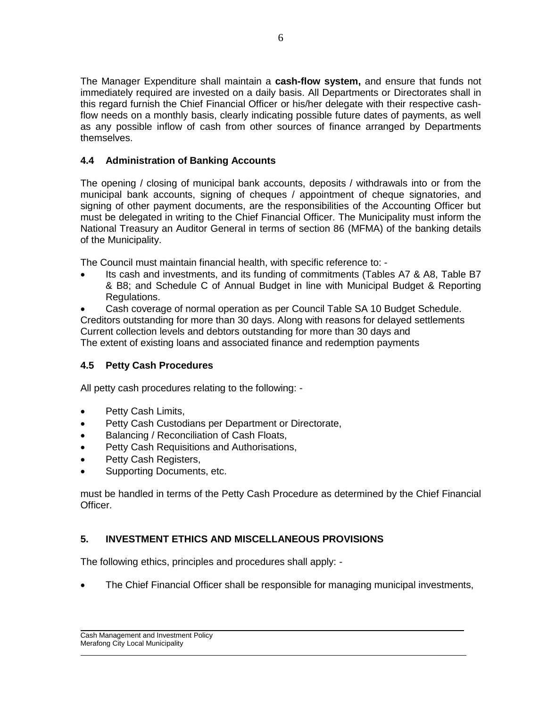The Manager Expenditure shall maintain a **cash-flow system,** and ensure that funds not immediately required are invested on a daily basis. All Departments or Directorates shall in this regard furnish the Chief Financial Officer or his/her delegate with their respective cashflow needs on a monthly basis, clearly indicating possible future dates of payments, as well as any possible inflow of cash from other sources of finance arranged by Departments themselves.

# **4.4 Administration of Banking Accounts**

The opening / closing of municipal bank accounts, deposits / withdrawals into or from the municipal bank accounts, signing of cheques / appointment of cheque signatories, and signing of other payment documents, are the responsibilities of the Accounting Officer but must be delegated in writing to the Chief Financial Officer. The Municipality must inform the National Treasury an Auditor General in terms of section 86 (MFMA) of the banking details of the Municipality.

The Council must maintain financial health, with specific reference to: -

- Its cash and investments, and its funding of commitments (Tables A7 & A8, Table B7 & B8; and Schedule C of Annual Budget in line with Municipal Budget & Reporting Regulations.
- Cash coverage of normal operation as per Council Table SA 10 Budget Schedule. Creditors outstanding for more than 30 days. Along with reasons for delayed settlements Current collection levels and debtors outstanding for more than 30 days and The extent of existing loans and associated finance and redemption payments

# **4.5 Petty Cash Procedures**

All petty cash procedures relating to the following: -

- Petty Cash Limits,
- **•** Petty Cash Custodians per Department or Directorate,
- Balancing / Reconciliation of Cash Floats,
- **•** Petty Cash Requisitions and Authorisations,
- Petty Cash Registers,
- Supporting Documents, etc.

must be handled in terms of the Petty Cash Procedure as determined by the Chief Financial Officer.

# **5. INVESTMENT ETHICS AND MISCELLANEOUS PROVISIONS**

The following ethics, principles and procedures shall apply: -

The Chief Financial Officer shall be responsible for managing municipal investments,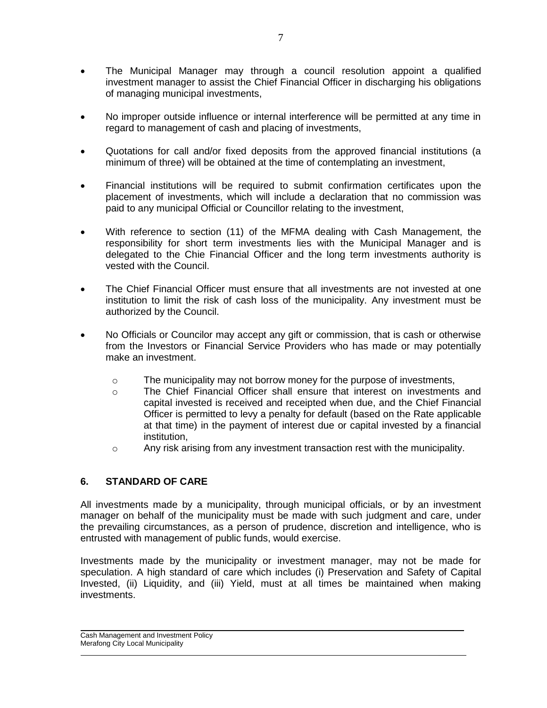- The Municipal Manager may through a council resolution appoint a qualified investment manager to assist the Chief Financial Officer in discharging his obligations of managing municipal investments,
- No improper outside influence or internal interference will be permitted at any time in regard to management of cash and placing of investments,
- Quotations for call and/or fixed deposits from the approved financial institutions (a minimum of three) will be obtained at the time of contemplating an investment,
- Financial institutions will be required to submit confirmation certificates upon the placement of investments, which will include a declaration that no commission was paid to any municipal Official or Councillor relating to the investment,
- With reference to section (11) of the MFMA dealing with Cash Management, the responsibility for short term investments lies with the Municipal Manager and is delegated to the Chie Financial Officer and the long term investments authority is vested with the Council.
- The Chief Financial Officer must ensure that all investments are not invested at one institution to limit the risk of cash loss of the municipality. Any investment must be authorized by the Council.
- No Officials or Councilor may accept any gift or commission, that is cash or otherwise from the Investors or Financial Service Providers who has made or may potentially make an investment.
	- $\circ$  The municipality may not borrow money for the purpose of investments,
	- o The Chief Financial Officer shall ensure that interest on investments and capital invested is received and receipted when due, and the Chief Financial Officer is permitted to levy a penalty for default (based on the Rate applicable at that time) in the payment of interest due or capital invested by a financial institution,
	- $\circ$  Any risk arising from any investment transaction rest with the municipality.

# **6. STANDARD OF CARE**

All investments made by a municipality, through municipal officials, or by an investment manager on behalf of the municipality must be made with such judgment and care, under the prevailing circumstances, as a person of prudence, discretion and intelligence, who is entrusted with management of public funds, would exercise.

Investments made by the municipality or investment manager, may not be made for speculation. A high standard of care which includes (i) Preservation and Safety of Capital Invested, (ii) Liquidity, and (iii) Yield, must at all times be maintained when making investments.

 $\_$  ,  $\_$  ,  $\_$  ,  $\_$  ,  $\_$  ,  $\_$  ,  $\_$  ,  $\_$  ,  $\_$  ,  $\_$  ,  $\_$  ,  $\_$  ,  $\_$  ,  $\_$  ,  $\_$  ,  $\_$  ,  $\_$  ,  $\_$  ,  $\_$  ,  $\_$  ,  $\_$  ,  $\_$  ,  $\_$  ,  $\_$  ,  $\_$  ,  $\_$  ,  $\_$  ,  $\_$  ,  $\_$  ,  $\_$  ,  $\_$  ,  $\_$  ,  $\_$  ,  $\_$  ,  $\_$  ,  $\_$  ,  $\_$  ,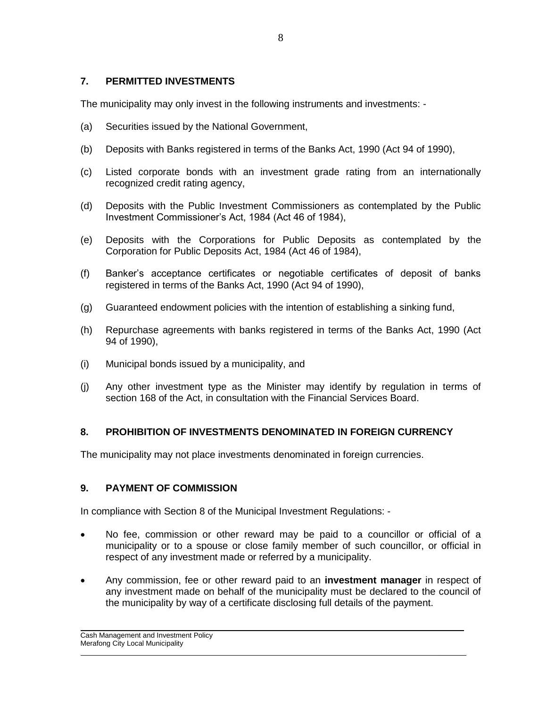### **7. PERMITTED INVESTMENTS**

The municipality may only invest in the following instruments and investments: -

- (a) Securities issued by the National Government,
- (b) Deposits with Banks registered in terms of the Banks Act, 1990 (Act 94 of 1990),
- (c) Listed corporate bonds with an investment grade rating from an internationally recognized credit rating agency,
- (d) Deposits with the Public Investment Commissioners as contemplated by the Public Investment Commissioner's Act, 1984 (Act 46 of 1984),
- (e) Deposits with the Corporations for Public Deposits as contemplated by the Corporation for Public Deposits Act, 1984 (Act 46 of 1984),
- (f) Banker's acceptance certificates or negotiable certificates of deposit of banks registered in terms of the Banks Act, 1990 (Act 94 of 1990),
- (g) Guaranteed endowment policies with the intention of establishing a sinking fund,
- (h) Repurchase agreements with banks registered in terms of the Banks Act, 1990 (Act 94 of 1990),
- (i) Municipal bonds issued by a municipality, and
- (j) Any other investment type as the Minister may identify by regulation in terms of section 168 of the Act, in consultation with the Financial Services Board.

# **8. PROHIBITION OF INVESTMENTS DENOMINATED IN FOREIGN CURRENCY**

The municipality may not place investments denominated in foreign currencies.

# **9. PAYMENT OF COMMISSION**

In compliance with Section 8 of the Municipal Investment Regulations: -

- No fee, commission or other reward may be paid to a councillor or official of a municipality or to a spouse or close family member of such councillor, or official in respect of any investment made or referred by a municipality.
- Any commission, fee or other reward paid to an **investment manager** in respect of any investment made on behalf of the municipality must be declared to the council of the municipality by way of a certificate disclosing full details of the payment.

 $\mathcal{L}=\mathcal{L}$ 

 $\_$  ,  $\_$  ,  $\_$  ,  $\_$  ,  $\_$  ,  $\_$  ,  $\_$  ,  $\_$  ,  $\_$  ,  $\_$  ,  $\_$  ,  $\_$  ,  $\_$  ,  $\_$  ,  $\_$  ,  $\_$  ,  $\_$  ,  $\_$  ,  $\_$  ,  $\_$  ,  $\_$  ,  $\_$  ,  $\_$  ,  $\_$  ,  $\_$  ,  $\_$  ,  $\_$  ,  $\_$  ,  $\_$  ,  $\_$  ,  $\_$  ,  $\_$  ,  $\_$  ,  $\_$  ,  $\_$  ,  $\_$  ,  $\_$  ,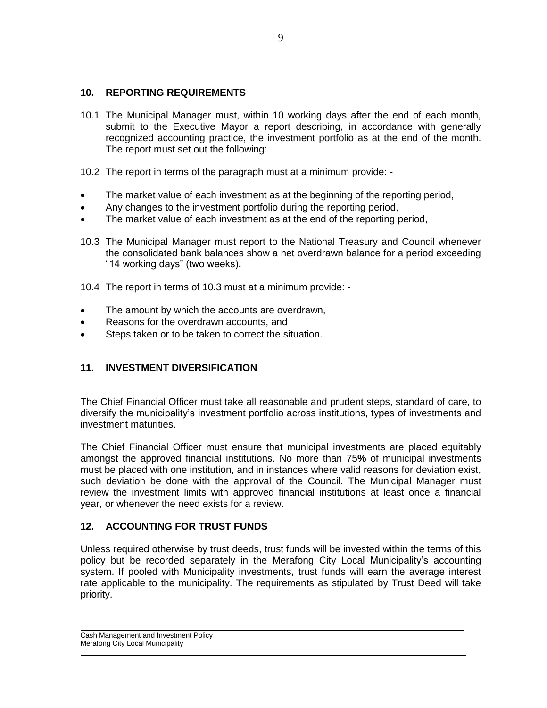### **10. REPORTING REQUIREMENTS**

- 10.1 The Municipal Manager must, within 10 working days after the end of each month, submit to the Executive Mayor a report describing, in accordance with generally recognized accounting practice, the investment portfolio as at the end of the month. The report must set out the following:
- 10.2 The report in terms of the paragraph must at a minimum provide: -
- The market value of each investment as at the beginning of the reporting period,
- Any changes to the investment portfolio during the reporting period,
- The market value of each investment as at the end of the reporting period,
- 10.3 The Municipal Manager must report to the National Treasury and Council whenever the consolidated bank balances show a net overdrawn balance for a period exceeding "14 working days" (two weeks)**.**
- 10.4 The report in terms of 10.3 must at a minimum provide: -
- The amount by which the accounts are overdrawn,
- Reasons for the overdrawn accounts, and
- Steps taken or to be taken to correct the situation.

### **11. INVESTMENT DIVERSIFICATION**

The Chief Financial Officer must take all reasonable and prudent steps, standard of care, to diversify the municipality's investment portfolio across institutions, types of investments and investment maturities.

The Chief Financial Officer must ensure that municipal investments are placed equitably amongst the approved financial institutions. No more than 75**%** of municipal investments must be placed with one institution, and in instances where valid reasons for deviation exist, such deviation be done with the approval of the Council. The Municipal Manager must review the investment limits with approved financial institutions at least once a financial year, or whenever the need exists for a review.

# **12. ACCOUNTING FOR TRUST FUNDS**

Unless required otherwise by trust deeds, trust funds will be invested within the terms of this policy but be recorded separately in the Merafong City Local Municipality's accounting system. If pooled with Municipality investments, trust funds will earn the average interest rate applicable to the municipality. The requirements as stipulated by Trust Deed will take priority.